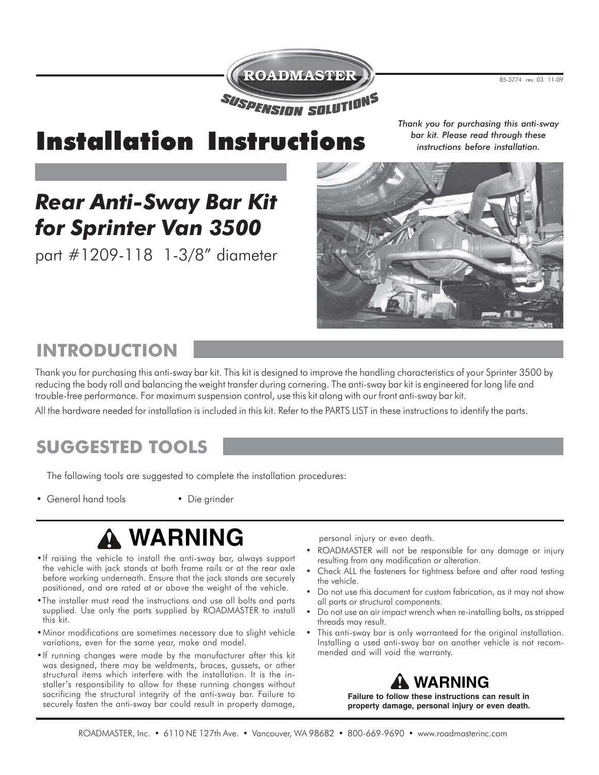

85-3774 rev. 03 11-09

# Installation Instructions

*Thank you for purchasing this anti-sway bar kit. Please read through these instructions before installation.*

# *Rear Anti-Sway Bar Kit for Sprinter Van 3500*

part #1209-118 1-3/8" diameter



# **INTRODUCTION**

Thank you for purchasing this anti-sway bar kit. This kit is designed to improve the handling characteristics of your Sprinter 3500 by reducing the body roll and balancing the weight transfer during cornering. The anti-sway bar kit is engineered for long life and trouble-free performance. For maximum suspension control, use this kit along with our front anti-sway bar kit.

All the hardware needed for installation is included in this kit. Refer to the PARTS LIST in these instructions to identify the parts.

## **SUGGESTED TOOLS**

The following tools are suggested to complete the installation procedures:

- General hand tools Die grinder
- 

# **WARNING**

- . If raising the vehicle to install the anti-sway bar, always support the vehicle with jack stands at both frame rails or at the rear axle before working underneath. Ensure that the jack stands are securely positioned, and are rated at or above the weight of the vehicle.
- . The installer must read the instructions and use all bolts and parts supplied. Use only the parts supplied by ROADMASTER to install this kit.
- Minor modifications are sometimes necessary due to slight vehicle variations, even for the same year, make and model.
- . If running changes were made by the manufacturer after this kit was designed, there may be weldments, braces, gussets, or other structural items which interfere with the installation. It is the installer's responsibility to allow for these running changes without sacrificing the structural integrity of the anti-sway bar. Failure to securely fasten the anti-sway bar could result in property damage,

personal injury or even death.

- ROADMASTER will not be responsible for any damage or injury resulting from any modification or alteration.
- Check ALL the fasteners for tightness before and after road testing the vehicle.
- Do not use this document for custom fabrication, as it may not show all parts or structural components.
- Do not use an air impact wrench when re-installing bolts, as stripped threads may result.
- This anti-sway bar is only warranteed for the original installation. Installing a used anti-sway bar on another vehicle is not recommended and will void the warranty.



**Failure to follow these instructions can result in property damage, personal injury or even death.**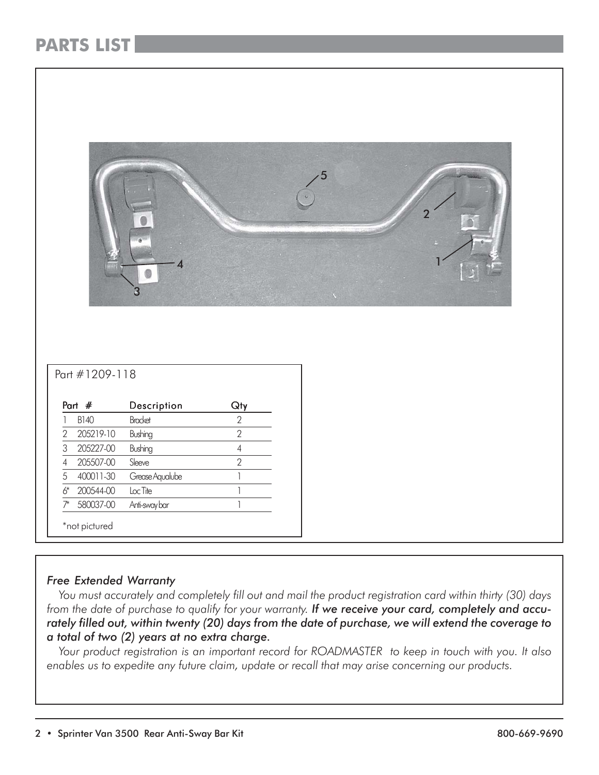## **PARTS LIST**

| Part #1209-118              |                 |                                       | 5 |  |
|-----------------------------|-----------------|---------------------------------------|---|--|
| Part #                      | Description     | Qty                                   |   |  |
| <b>B140</b>                 | <b>Bracket</b>  | $\sqrt{2}$                            |   |  |
| $\overline{2}$<br>205219-10 | Bushing         | $\overline{2}$                        |   |  |
| $\mathsf 3$<br>205227-00    | Bushing         | $\sqrt{4}$                            |   |  |
| 205507-00<br>$\sqrt{4}$     | Sleeve          | $\overline{2}$                        |   |  |
| $\sqrt{5}$<br>400011-30     | Grease Aqualube | $\begin{array}{c} \hline \end{array}$ |   |  |
| $6*$<br>200544-00           | $Loc$ Tite      | $\begin{array}{c} \hline \end{array}$ |   |  |
| 580037-00<br>$7^*$          | Anti-sway bar   | $\overline{\phantom{a}}$              |   |  |
| *not pictured               |                 |                                       |   |  |

### *Free Extended Warranty*

 *You must accurately and completely fill out and mail the product registration card within thirty (30) days from the date of purchase to qualify for your warranty. If we receive your card, completely and accurately filled out, within twenty (20) days from the date of purchase, we will extend the coverage to a total of two (2) years at no extra charge.*

 *Your product registration is an important record for ROADMASTER to keep in touch with you. It also enables us to expedite any future claim, update or recall that may arise concerning our products.*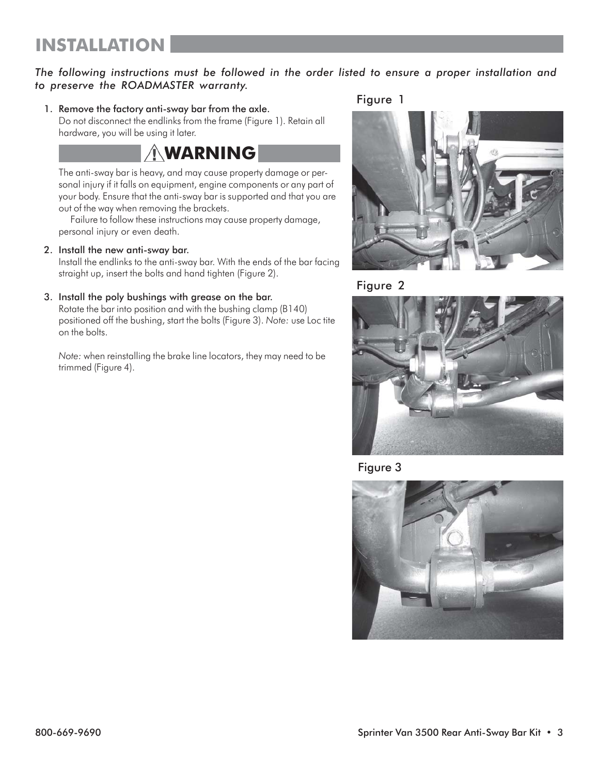### *The following instructions must be followed in the order listed to ensure a proper installation and to preserve the ROADMASTER warranty.*

1. Remove the factory anti-sway bar from the axle.

Figure 1

Do not disconnect the endlinks from the frame (Figure 1). Retain all hardware, you will be using it later.

## **WARNING**

The anti-sway bar is heavy, and may cause property damage or personal injury if it falls on equipment, engine components or any part of your body. Ensure that the anti-sway bar is supported and that you are out of the way when removing the brackets.

Failure to follow these instructions may cause property damage, personal injury or even death.

### 2. Install the new anti-sway bar.

Install the endlinks to the anti-sway bar. With the ends of the bar facing straight up, insert the bolts and hand tighten (Figure 2).

### 3. Install the poly bushings with grease on the bar.

Rotate the bar into position and with the bushing clamp (B140) positioned off the bushing, start the bolts (Figure 3). *Note:* use Loc tite on the bolts.

*Note:* when reinstalling the brake line locators, they may need to be trimmed (Figure 4).









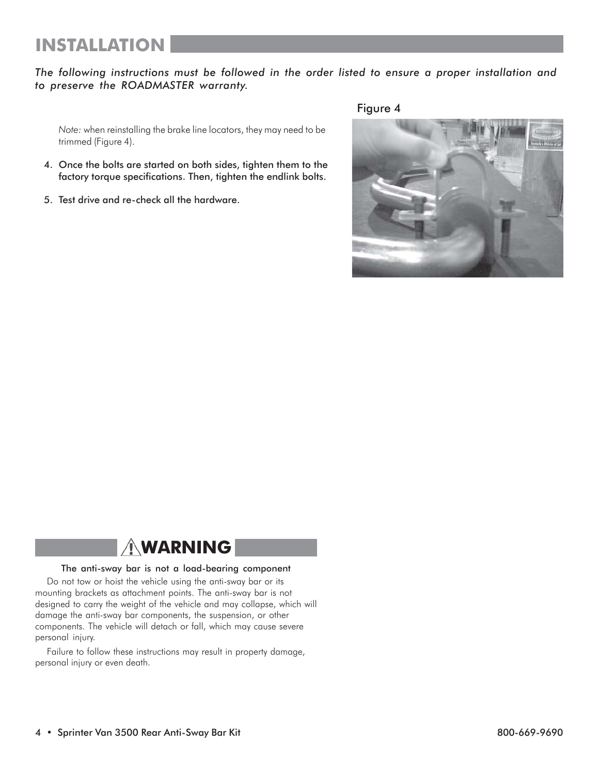## **INSTALLATION**

### *The following instructions must be followed in the order listed to ensure a proper installation and to preserve the ROADMASTER warranty.*

*Note:* when reinstalling the brake line locators, they may need to be trimmed (Figure 4).

- 4. Once the bolts are started on both sides, tighten them to the factory torque specifications. Then, tighten the endlink bolts.
- 5. Test drive and re-check all the hardware.

Figure 4



## **WARNING**

#### The anti-sway bar is not a load-bearing component

Do not tow or hoist the vehicle using the anti-sway bar or its mounting brackets as attachment points. The anti-sway bar is not designed to carry the weight of the vehicle and may collapse, which will damage the anti-sway bar components, the suspension, or other components. The vehicle will detach or fall, which may cause severe personal injury.

Failure to follow these instructions may result in property damage, personal injury or even death.